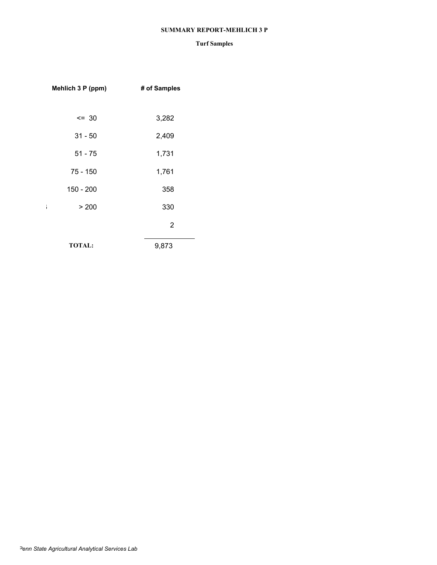#### **SUMMARY REPORT-MEHLICH 3 P**

| Mehlich 3 P (ppm)    | # of Samples |
|----------------------|--------------|
|                      |              |
| $= 30$               | 3,282        |
| $31 - 50$            | 2,409        |
| $51 - 75$            | 1,731        |
| 75 - 150             | 1,761        |
| 150 - 200            | 358          |
| > 200<br>$\mathbf i$ | 330          |
|                      | 2            |
| <b>TOTAL:</b>        | 9,873        |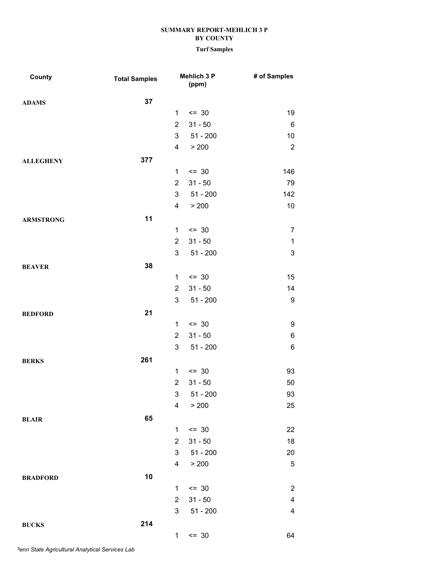### **Turf Samples**

| County           | <b>Total Samples</b> |                         | Mehlich 3 P<br>(ppm) | # of Samples              |
|------------------|----------------------|-------------------------|----------------------|---------------------------|
| <b>ADAMS</b>     | 37                   |                         |                      |                           |
|                  |                      | 1                       | $\leq$ 30            | 19                        |
|                  |                      | $\overline{2}$          | $31 - 50$            | $\,6\,$                   |
|                  |                      | 3                       | $51 - 200$           | 10                        |
|                  |                      | 4                       | > 200                | $\sqrt{2}$                |
| <b>ALLEGHENY</b> | 377                  |                         |                      |                           |
|                  |                      | 1                       | $= 30$               | 146                       |
|                  |                      | $\overline{2}$          | $31 - 50$            | 79                        |
|                  |                      | 3                       | $51 - 200$           | 142                       |
|                  |                      | 4                       | > 200                | 10                        |
| <b>ARMSTRONG</b> | 11                   |                         |                      |                           |
|                  |                      | $\mathbf{1}$            | $\leq$ 30            | $\overline{7}$            |
|                  |                      | $\overline{2}$          | $31 - 50$            | $\mathbf{1}$              |
|                  |                      | 3                       | $51 - 200$           | $\ensuremath{\mathsf{3}}$ |
| <b>BEAVER</b>    | 38                   |                         |                      |                           |
|                  |                      | 1                       | $= 30$               | 15                        |
|                  |                      | $\overline{2}$          | $31 - 50$            | 14                        |
|                  |                      | 3                       | $51 - 200$           | $\boldsymbol{9}$          |
| <b>BEDFORD</b>   | 21                   |                         |                      |                           |
|                  |                      | $\mathbf{1}$            | $\leq$ 30            | $\boldsymbol{9}$          |
|                  |                      | $\overline{2}$          | $31 - 50$            | $\,6$                     |
|                  |                      | 3                       | $51 - 200$           | $\,6$                     |
| <b>BERKS</b>     | 261                  |                         |                      |                           |
|                  |                      | $\mathbf{1}$            | $= 30$               | 93                        |
|                  |                      | $\overline{2}$          | $31 - 50$            | 50                        |
|                  |                      | 3                       | $51 - 200$           | 93                        |
|                  |                      | $\overline{\mathbf{4}}$ | > 200                | 25                        |
| <b>BLAIR</b>     | 65                   |                         |                      |                           |
|                  |                      | $\mathbf{1}$            | $= 30$               | 22                        |
|                  |                      | $\overline{2}$          | $31 - 50$            | 18                        |
|                  |                      | 3                       | $51 - 200$           | 20                        |
|                  |                      | $\overline{4}$          | > 200                | $\mathbf 5$               |
| <b>BRADFORD</b>  | 10                   |                         |                      |                           |
|                  |                      | 1                       | $= 30$               | $\sqrt{2}$                |
|                  |                      | $\overline{2}$          | $31 - 50$            | $\overline{\mathbf{4}}$   |
|                  |                      | 3                       | $51 - 200$           | $\overline{\mathbf{4}}$   |
| <b>BUCKS</b>     | 214                  |                         |                      |                           |
|                  |                      | 1                       | $\leq$ 30            | 64                        |

*Penn State Agricultural Analytical Services Lab*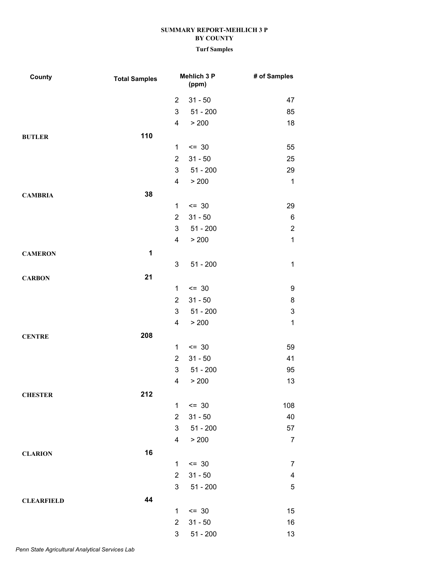| County            | <b>Total Samples</b> |                | Mehlich 3 P<br>(ppm) | # of Samples              |
|-------------------|----------------------|----------------|----------------------|---------------------------|
|                   |                      | $\overline{2}$ | $31 - 50$            | 47                        |
|                   |                      | 3              | $51 - 200$           | 85                        |
|                   |                      | 4              | > 200                | 18                        |
| <b>BUTLER</b>     | 110                  |                |                      |                           |
|                   |                      | 1              | $= 30$               | 55                        |
|                   |                      | $\overline{2}$ | $31 - 50$            | 25                        |
|                   |                      | 3              | $51 - 200$           | 29                        |
|                   |                      | 4              | > 200                | $\mathbf{1}$              |
| <b>CAMBRIA</b>    | 38                   |                |                      |                           |
|                   |                      | 1              | $= 30$               | 29                        |
|                   |                      | $\overline{2}$ | $31 - 50$            | $\,6$                     |
|                   |                      | 3              | $51 - 200$           | $\boldsymbol{2}$          |
|                   |                      | 4              | > 200                | $\mathbf{1}$              |
| <b>CAMERON</b>    | 1                    |                |                      |                           |
|                   |                      | 3              | $51 - 200$           | $\mathbf 1$               |
| <b>CARBON</b>     | 21                   |                |                      |                           |
|                   |                      | $\mathbf{1}$   | $\leq$ 30            | $\boldsymbol{9}$          |
|                   |                      | $\overline{2}$ | $31 - 50$            | 8                         |
|                   |                      | 3              | $51 - 200$           | $\ensuremath{\mathsf{3}}$ |
|                   |                      | 4              | > 200                | $\mathbf 1$               |
| <b>CENTRE</b>     | 208                  |                |                      |                           |
|                   |                      | 1              | $= 30$               | 59                        |
|                   |                      | $\overline{2}$ | $31 - 50$            | 41                        |
|                   |                      | 3              | $51 - 200$           | 95                        |
|                   |                      | 4              | > 200                | 13                        |
| <b>CHESTER</b>    | 212                  |                |                      |                           |
|                   |                      | $\mathbf{1}$   | $\leq$ 30            | 108                       |
|                   |                      | $\overline{2}$ | $31 - 50$            | 40                        |
|                   |                      | 3              | $51 - 200$           | 57                        |
|                   |                      | 4              | > 200                | $\overline{7}$            |
| <b>CLARION</b>    | 16                   |                |                      |                           |
|                   |                      | $\mathbf{1}$   | $= 30$               | $\overline{7}$            |
|                   |                      | $\overline{2}$ | $31 - 50$            | $\overline{\mathbf{4}}$   |
|                   |                      | 3              | $51 - 200$           | $\sqrt{5}$                |
| <b>CLEARFIELD</b> | 44                   |                |                      |                           |
|                   |                      | 1              | $= 30$               | 15                        |
|                   |                      | $\overline{2}$ | $31 - 50$            | 16                        |
|                   |                      | 3              | $51 - 200$           | 13                        |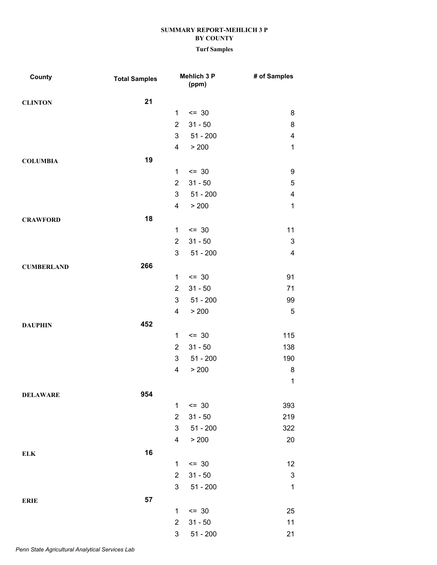| <b>County</b>     | <b>Total Samples</b> |                           | <b>Mehlich 3 P</b><br>(ppm) | # of Samples              |
|-------------------|----------------------|---------------------------|-----------------------------|---------------------------|
| <b>CLINTON</b>    | 21                   |                           |                             |                           |
|                   |                      | $\mathbf{1}$              | $\leq$ 30                   | 8                         |
|                   |                      | $\overline{2}$            | $31 - 50$                   | $\bf 8$                   |
|                   |                      | 3                         | $51 - 200$                  | $\overline{\mathbf{4}}$   |
|                   |                      | $\overline{\mathbf{4}}$   | > 200                       | $\mathbf 1$               |
| <b>COLUMBIA</b>   | 19                   |                           |                             |                           |
|                   |                      | 1                         | $\leq$ 30                   | 9                         |
|                   |                      | $\overline{2}$            | $31 - 50$                   | $\mathbf 5$               |
|                   |                      | $\mathfrak{S}$            | $51 - 200$                  | $\overline{\mathbf{4}}$   |
|                   |                      | 4                         | > 200                       | $\mathbf 1$               |
| <b>CRAWFORD</b>   | 18                   |                           |                             |                           |
|                   |                      | $\mathbf{1}$              | $\leq$ 30                   | 11                        |
|                   |                      | $\overline{2}$            | $31 - 50$                   | $\ensuremath{\mathsf{3}}$ |
|                   |                      | $\mathfrak{S}$            | $51 - 200$                  | $\overline{\mathbf{4}}$   |
| <b>CUMBERLAND</b> | 266                  |                           |                             |                           |
|                   |                      | $\mathbf 1$               | $\leq$ 30                   | 91                        |
|                   |                      | $\overline{2}$            | $31 - 50$                   | 71                        |
|                   |                      | 3                         | $51 - 200$                  | 99                        |
|                   |                      | 4                         | > 200                       | $\sqrt{5}$                |
| <b>DAUPHIN</b>    | 452                  |                           |                             |                           |
|                   |                      | $\mathbf{1}$              | $= 30$                      | 115                       |
|                   |                      | $\overline{2}$            | $31 - 50$                   | 138                       |
|                   |                      | 3                         | $51 - 200$                  | 190                       |
|                   |                      | 4                         | > 200                       | 8                         |
|                   |                      |                           |                             | $\mathbf 1$               |
| <b>DELAWARE</b>   | 954                  |                           |                             |                           |
|                   |                      | $\mathbf{1}$              | $\leq$ 30                   | 393                       |
|                   |                      | $\overline{2}$            | $31 - 50$                   | 219                       |
|                   |                      | $\mathfrak{S}$            | $51 - 200$                  | 322                       |
|                   |                      | $\overline{\mathbf{4}}$   | > 200                       | 20                        |
| <b>ELK</b>        | 16                   |                           |                             |                           |
|                   |                      | $\mathbf 1$               | $\leq$ 30                   | 12                        |
|                   |                      | $\overline{2}$            | $31 - 50$                   | $\ensuremath{\mathsf{3}}$ |
|                   |                      | $\ensuremath{\mathsf{3}}$ | $51 - 200$                  | $\mathbf{1}$              |
| <b>ERIE</b>       | 57                   |                           |                             |                           |
|                   |                      | $\mathbf{1}$              | $\leq$ 30                   | 25                        |
|                   |                      | $\overline{2}$            | $31 - 50$                   | 11                        |
|                   |                      | 3                         | $51 - 200$                  | 21                        |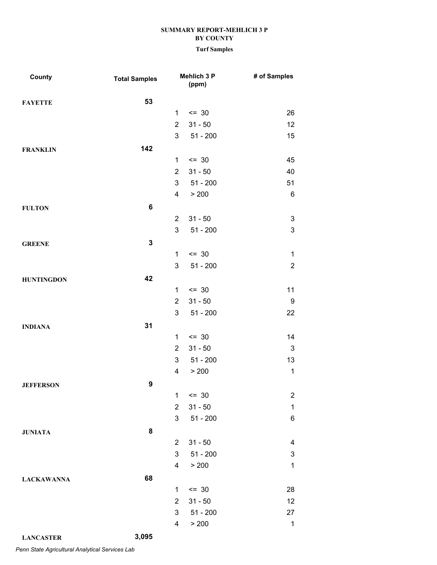#### **Turf Samples**

| County            | <b>Total Samples</b> |                         | Mehlich 3 P<br>(ppm) | # of Samples              |
|-------------------|----------------------|-------------------------|----------------------|---------------------------|
| <b>FAYETTE</b>    | 53                   |                         |                      |                           |
|                   |                      | $\mathbf{1}$            | $= 30$               | 26                        |
|                   |                      | $\overline{2}$          | $31 - 50$            | 12                        |
|                   |                      | 3                       | $51 - 200$           | 15                        |
| <b>FRANKLIN</b>   | 142                  |                         |                      |                           |
|                   |                      | $\mathbf{1}$            | $\leq$ 30            | 45                        |
|                   |                      | $\overline{2}$          | $31 - 50$            | 40                        |
|                   |                      | 3                       | $51 - 200$           | 51                        |
|                   |                      | 4                       | > 200                | $\,6$                     |
| <b>FULTON</b>     | 6                    |                         |                      |                           |
|                   |                      | $\overline{2}$          | $31 - 50$            | $\ensuremath{\mathsf{3}}$ |
|                   |                      | 3                       | $51 - 200$           | $\mathbf 3$               |
| <b>GREENE</b>     | $\mathbf 3$          |                         |                      |                           |
|                   |                      | $\mathbf{1}$            | $\leq$ 30            | $\mathbf{1}$              |
|                   |                      | 3                       | $51 - 200$           | $\overline{2}$            |
| <b>HUNTINGDON</b> | 42                   |                         |                      |                           |
|                   |                      | $\mathbf{1}$            | $\leq$ 30            | 11                        |
|                   |                      | $\overline{2}$          | $31 - 50$            | $\boldsymbol{9}$          |
|                   |                      | 3                       | $51 - 200$           | 22                        |
| <b>INDIANA</b>    | 31                   |                         |                      |                           |
|                   |                      | 1                       | $= 30$               | 14                        |
|                   |                      | $\overline{2}$          | $31 - 50$            | $\ensuremath{\mathsf{3}}$ |
|                   |                      | 3                       | $51 - 200$           | 13                        |
|                   |                      | $\overline{\mathbf{4}}$ | > 200                | $\mathbf{1}$              |
| <b>JEFFERSON</b>  | 9                    |                         |                      |                           |
|                   |                      | $\mathbf 1$             | $= 30$               | $\overline{\mathbf{c}}$   |
|                   |                      | $\overline{2}$          | $31 - 50$            | $\mathbf 1$               |
|                   |                      | 3                       | $51 - 200$           | $\,6$                     |
| <b>JUNIATA</b>    | 8                    |                         |                      |                           |
|                   |                      | $\overline{2}$          | $31 - 50$            | $\overline{\mathbf{4}}$   |
|                   |                      | 3                       | $51 - 200$           | $\ensuremath{\mathsf{3}}$ |
|                   |                      | 4                       | > 200                | $\mathbf 1$               |
| <b>LACKAWANNA</b> | 68                   |                         |                      |                           |
|                   |                      | $\mathbf{1}$            | $= 30$               | 28                        |
|                   |                      | $\overline{2}$          | $31 - 50$            | 12                        |
|                   |                      | 3                       | $51 - 200$           | 27                        |
|                   |                      | 4                       | > 200                | $\mathbf 1$               |

**LANCASTER 3,095**

*Penn State Agricultural Analytical Services Lab*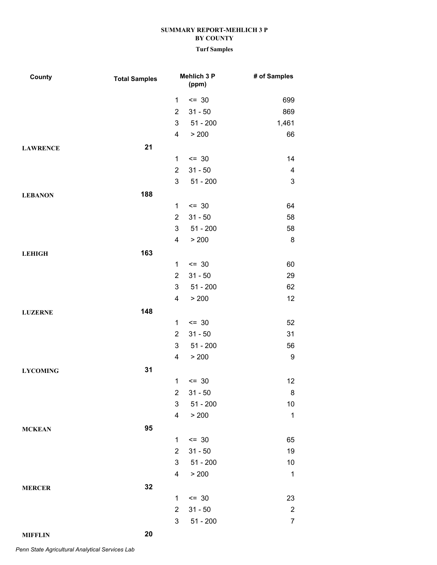| County          | <b>Total Samples</b> |                     | Mehlich 3 P<br>(ppm)    | # of Samples                 |
|-----------------|----------------------|---------------------|-------------------------|------------------------------|
|                 |                      | 1                   | $= 30$                  | 699                          |
|                 |                      | $\overline{2}$      | $31 - 50$               | 869                          |
|                 |                      | 3                   | $51 - 200$              | 1,461                        |
|                 |                      | 4                   | > 200                   | 66                           |
| <b>LAWRENCE</b> | 21                   |                     |                         |                              |
|                 |                      | 1                   | $= 30$                  | 14                           |
|                 |                      | $\overline{2}$      | $31 - 50$               | 4                            |
|                 |                      | 3                   | $51 - 200$              | $\ensuremath{\mathsf{3}}$    |
| <b>LEBANON</b>  | 188                  |                     |                         |                              |
|                 |                      | 1                   | $= 30$                  | 64                           |
|                 |                      | $\overline{2}$      | $31 - 50$               | 58                           |
|                 |                      | 3                   | $51 - 200$              | 58                           |
|                 |                      | 4                   | > 200                   | 8                            |
| <b>LEHIGH</b>   | 163                  |                     |                         |                              |
|                 |                      | $\mathbf{1}$        | $= 30$                  | 60                           |
|                 |                      | $\overline{2}$      | $31 - 50$               | 29                           |
|                 |                      | 3                   | $51 - 200$              | 62                           |
|                 |                      | 4                   | > 200                   | 12                           |
| <b>LUZERNE</b>  | 148                  |                     |                         |                              |
|                 |                      | 1                   | $= 30$                  | 52                           |
|                 |                      | $\overline{2}$      | $31 - 50$               | 31                           |
|                 |                      | 3                   | $51 - 200$              | 56                           |
|                 |                      | 4                   | > 200                   | 9                            |
| <b>LYCOMING</b> | 31                   |                     |                         |                              |
|                 |                      | 1                   | $= 30$                  | 12                           |
|                 |                      | $\overline{2}$      | $31 - 50$               | $\bf 8$                      |
|                 |                      | 3 <sup>1</sup>      | $51 - 200$              | 10                           |
|                 |                      | 4                   | > 200                   | $\mathbf{1}$                 |
| <b>MCKEAN</b>   | 95                   |                     |                         |                              |
|                 |                      | $\mathbf{1}$        | $\leq$ 30               | 65                           |
|                 |                      | $\overline{2}$      | $31 - 50$               | 19                           |
|                 |                      | 3<br>4              | $51 - 200$<br>> 200     | 10<br>$\mathbf{1}$           |
|                 |                      |                     |                         |                              |
| <b>MERCER</b>   | 32                   |                     |                         |                              |
|                 |                      | 1<br>$\overline{2}$ | $\leq$ 30               | 23                           |
|                 |                      | 3                   | $31 - 50$<br>$51 - 200$ | $\sqrt{2}$<br>$\overline{7}$ |
|                 |                      |                     |                         |                              |
| <b>MIFFLIN</b>  | 20                   |                     |                         |                              |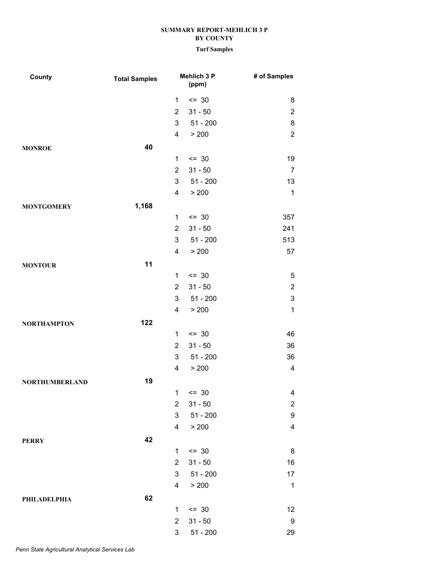| County                | <b>Total Samples</b> |                         | Mehlich 3 P<br>(ppm)    | # of Samples            |
|-----------------------|----------------------|-------------------------|-------------------------|-------------------------|
|                       |                      | 1                       | $= 30$                  | 8                       |
|                       |                      | $\overline{2}$          | $31 - 50$               | $\overline{c}$          |
|                       |                      | 3                       | $51 - 200$              | 8                       |
|                       |                      | $\overline{\mathbf{4}}$ | > 200                   | $\overline{2}$          |
| <b>MONROE</b>         | 40                   |                         |                         |                         |
|                       |                      | 1                       | $= 30$                  | 19                      |
|                       |                      | $\overline{2}$          | $31 - 50$               | $\overline{7}$          |
|                       |                      | 3                       | $51 - 200$              | 13                      |
|                       |                      | 4                       | > 200                   | $\mathbf 1$             |
| <b>MONTGOMERY</b>     | 1,168                |                         |                         |                         |
|                       |                      | $\mathbf{1}$            | $= 30$                  | 357                     |
|                       |                      | $\overline{2}$          | $31 - 50$               | 241                     |
|                       |                      | 3                       | $51 - 200$              | 513                     |
|                       |                      | 4                       | > 200                   | 57                      |
| <b>MONTOUR</b>        | 11                   |                         |                         |                         |
|                       |                      | 1                       | $= 30$                  | $\mathbf 5$             |
|                       |                      | $\overline{2}$          | $31 - 50$               | $\boldsymbol{2}$        |
|                       |                      | 3                       | $51 - 200$              | $\mathbf 3$             |
|                       |                      | 4                       | > 200                   | $\mathbf{1}$            |
| <b>NORTHAMPTON</b>    | 122                  |                         |                         |                         |
|                       |                      | 1                       | $= 30$                  | 46                      |
|                       |                      | $\overline{2}$          | $31 - 50$               | 36                      |
|                       |                      | 3<br>4                  | $51 - 200$<br>> 200     | 36<br>4                 |
|                       |                      |                         |                         |                         |
| <b>NORTHUMBERLAND</b> | 19                   |                         |                         |                         |
|                       |                      | $\overline{2}$          | $1 \le 30$<br>$31 - 50$ | 4<br>$\overline{c}$     |
|                       |                      | 3                       | $51 - 200$              | $\boldsymbol{9}$        |
|                       |                      | $\overline{\mathbf{4}}$ | > 200                   | $\overline{\mathbf{4}}$ |
|                       | 42                   |                         |                         |                         |
| <b>PERRY</b>          |                      | $\mathbf{1}$            | $= 30$                  | $\,8\,$                 |
|                       |                      | $\overline{2}$          | $31 - 50$               | 16                      |
|                       |                      | 3                       | $51 - 200$              | 17                      |
|                       |                      | 4                       | > 200                   | $\mathbf 1$             |
| PHILADELPHIA          | 62                   |                         |                         |                         |
|                       |                      | $\mathbf{1}$            | $= 30$                  | 12                      |
|                       |                      | $\overline{2}$          | $31 - 50$               | $\boldsymbol{9}$        |
|                       |                      | 3                       | $51 - 200$              | 29                      |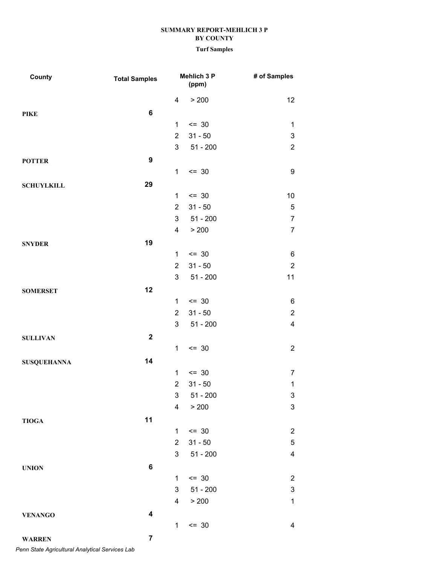#### **Turf Samples**

| County             | <b>Total Samples</b>    |                         | Mehlich 3 P<br>(ppm) | # of Samples              |
|--------------------|-------------------------|-------------------------|----------------------|---------------------------|
|                    |                         | $\overline{\mathbf{4}}$ | > 200                | 12                        |
| <b>PIKE</b>        | 6                       |                         |                      |                           |
|                    |                         | 1                       | $= 30$               | $\mathbf{1}$              |
|                    |                         | $\overline{2}$          | $31 - 50$            | $\ensuremath{\mathsf{3}}$ |
|                    |                         | 3                       | $51 - 200$           | $\overline{2}$            |
| <b>POTTER</b>      | $\boldsymbol{9}$        |                         |                      |                           |
|                    |                         | $\mathbf{1}$            | $= 30$               | $\boldsymbol{9}$          |
| <b>SCHUYLKILL</b>  | 29                      |                         |                      |                           |
|                    |                         | $\mathbf{1}$            | $\leq$ 30            | $10\,$                    |
|                    |                         | $\overline{2}$          | $31 - 50$            | $\,$ 5 $\,$               |
|                    |                         | 3                       | $51 - 200$           | $\boldsymbol{7}$          |
|                    |                         | 4                       | > 200                | $\overline{7}$            |
| <b>SNYDER</b>      | 19                      |                         |                      |                           |
|                    |                         | $\mathbf{1}$            | $\leq$ 30            | $\,6$                     |
|                    |                         | $\overline{2}$          | $31 - 50$            | $\sqrt{2}$                |
|                    |                         | $\mathsf 3$             | $51 - 200$           | 11                        |
| <b>SOMERSET</b>    | 12                      |                         |                      |                           |
|                    |                         | $\mathbf{1}$            | $= 30$               | $\,6$                     |
|                    |                         | $\overline{2}$          | $31 - 50$            | $\overline{c}$            |
|                    |                         | $\mathfrak{S}$          | $51 - 200$           | $\overline{4}$            |
| <b>SULLIVAN</b>    | $\mathbf{2}$            |                         |                      |                           |
|                    |                         | $\mathbf{1}$            | $= 30$               | $\overline{2}$            |
| <b>SUSQUEHANNA</b> | 14                      |                         |                      |                           |
|                    |                         | $\mathbf{1}$            | $= 30$               | $\overline{7}$            |
|                    |                         | $\overline{2}$          | $31 - 50$            | $\mathbf 1$               |
|                    |                         | 3                       | $51 - 200$           | $\mathsf 3$               |
|                    |                         | $\overline{\mathbf{4}}$ | > 200                | $\ensuremath{\mathsf{3}}$ |
| <b>TIOGA</b>       | 11                      |                         |                      |                           |
|                    |                         | $\mathbf{1}$            | $\leq$ 30            | $\overline{c}$            |
|                    |                         | $\overline{2}$          | $31 - 50$            | $\,$ 5 $\,$               |
|                    |                         | 3                       | $51 - 200$           | $\overline{\mathbf{4}}$   |
| <b>UNION</b>       | $\bf 6$                 |                         |                      |                           |
|                    |                         | 1                       | $= 30$               | $\overline{c}$            |
|                    |                         | 3                       | $51 - 200$           | $\ensuremath{\mathsf{3}}$ |
|                    |                         | 4                       | > 200                | $\mathbf 1$               |
| <b>VENANGO</b>     | $\overline{\mathbf{4}}$ |                         |                      |                           |
|                    |                         | $\mathbf{1}$            | $= 30$               | $\overline{\mathbf{4}}$   |
| <b>WARREN</b>      | $\overline{7}$          |                         |                      |                           |

*Penn State Agricultural Analytical Services Lab*